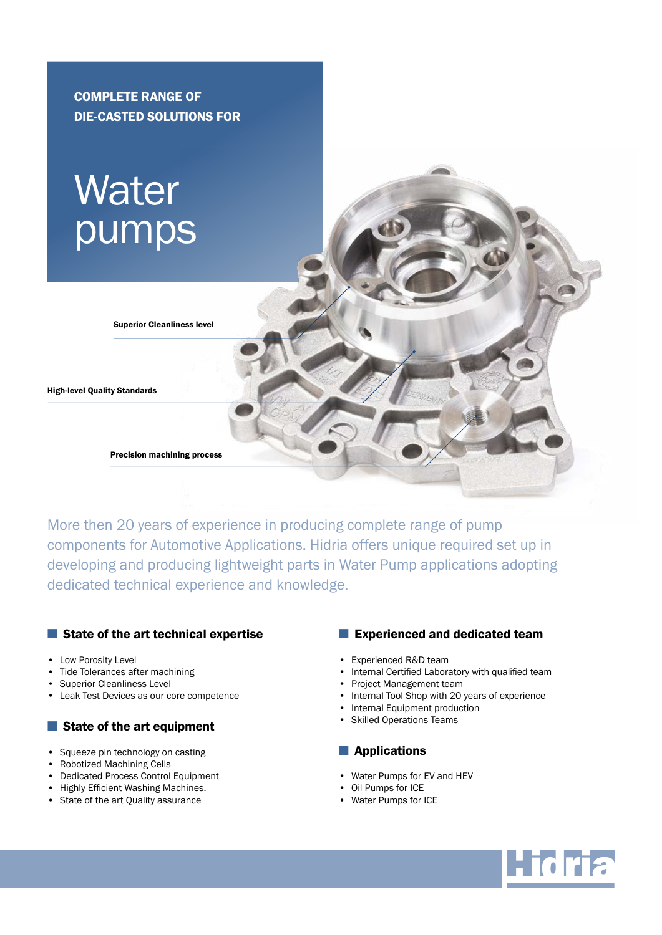

More then 20 years of experience in producing complete range of pump components for Automotive Applications. Hidria offers unique required set up in developing and producing lightweight parts in Water Pump applications adopting dedicated technical experience and knowledge.

#### ■ State of the art technical expertise

- Low Porosity Level
- Tide Tolerances after machining
- Superior Cleanliness Level
- Leak Test Devices as our core competence

## ■ State of the art equipment

- Squeeze pin technology on casting
- Robotized Machining Cells
- Dedicated Process Control Equipment
- Highly Efficient Washing Machines.
- State of the art Quality assurance

### ■ Experienced and dedicated team

- Experienced R&D team
- Internal Certified Laboratory with qualified team
- Project Management team
- Internal Tool Shop with 20 years of experience
- Internal Equipment production
- Skilled Operations Teams

#### ■ Applications

- • Water Pumps for EV and HEV
- Oil Pumps for ICE
- • Water Pumps for ICE